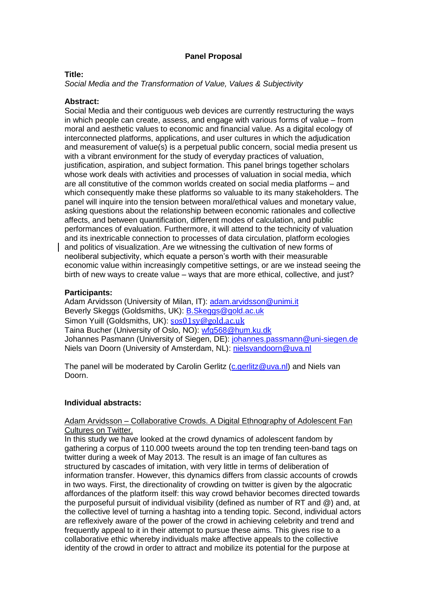# **Panel Proposal**

## **Title:**

*Social Media and the Transformation of Value, Values & Subjectivity*

## **Abstract:**

Social Media and their contiguous web devices are currently restructuring the ways in which people can create, assess, and engage with various forms of value – from moral and aesthetic values to economic and financial value. As a digital ecology of interconnected platforms, applications, and user cultures in which the adjudication and measurement of value(s) is a perpetual public concern, social media present us with a vibrant environment for the study of everyday practices of valuation, justification, aspiration, and subject formation. This panel brings together scholars whose work deals with activities and processes of valuation in social media, which are all constitutive of the common worlds created on social media platforms – and which consequently make these platforms so valuable to its many stakeholders. The panel will inquire into the tension between moral/ethical values and monetary value, asking questions about the relationship between economic rationales and collective affects, and between quantification, different modes of calculation, and public performances of evaluation. Furthermore, it will attend to the technicity of valuation and its inextricable connection to processes of data circulation, platform ecologies and politics of visualization. Are we witnessing the cultivation of new forms of neoliberal subjectivity, which equate a person's worth with their measurable economic value within increasingly competitive settings, or are we instead seeing the birth of new ways to create value – ways that are more ethical, collective, and just?

## **Participants:**

Adam Arvidsson (University of Milan, IT): [adam.arvidsson@unimi.it](mailto:adam.arvidsson@unimi.it) Beverly Skeggs (Goldsmiths, UK): [B.Skeggs@gold.ac.uk](mailto:B.Skeggs@gold.ac.uk) Simon Yuill (Goldsmiths, UK): [sos01sy@gold.ac.uk](https://webmail.uva.nl/owa/asmc14-fgw@uva.nl/redir.aspx?C=jLKWI5r0QU6ouJtX4pnl-mL09pHGONEIaS5A1tSEtja8r08xljfczzv8VWGMRY04cyA_X3OMZ-c.&URL=mailto%3asos01sy%40gold.ac.uk) Taina Bucher (University of Oslo, NO): [wfg568@hum.ku.dk](mailto:wfg568@hum.ku.dk) Johannes Pasmann (University of Siegen, DE): [johannes.passmann@uni-siegen.de](mailto:johannes.passmann@uni-siegen.de) Niels van Doorn (University of Amsterdam, NL): [nielsvandoorn@uva.nl](mailto:nielsvandoorn@uva.nl)

The panel will be moderated by Carolin Gerlitz [\(c.gerlitz@uva.nl\)](mailto:c.gerlitz@uva.nl) and Niels van Doorn.

#### **Individual abstracts:**

## Adam Arvidsson – Collaborative Crowds. A Digital Ethnography of Adolescent Fan Cultures on Twitter.

In this study we have looked at the crowd dynamics of adolescent fandom by gathering a corpus of 110.000 tweets around the top ten trending teen-band tags on twitter during a week of May 2013. The result is an image of fan cultures as structured by cascades of imitation, with very little in terms of deliberation of information transfer. However, this dynamics differs from classic accounts of crowds in two ways. First, the directionality of crowding on twitter is given by the algocratic affordances of the platform itself: this way crowd behavior becomes directed towards the purposeful pursuit of individual visibility (defined as number of RT and @) and, at the collective level of turning a hashtag into a tending topic. Second, individual actors are reflexively aware of the power of the crowd in achieving celebrity and trend and frequently appeal to it in their attempt to pursue these aims. This gives rise to a collaborative ethic whereby individuals make affective appeals to the collective identity of the crowd in order to attract and mobilize its potential for the purpose at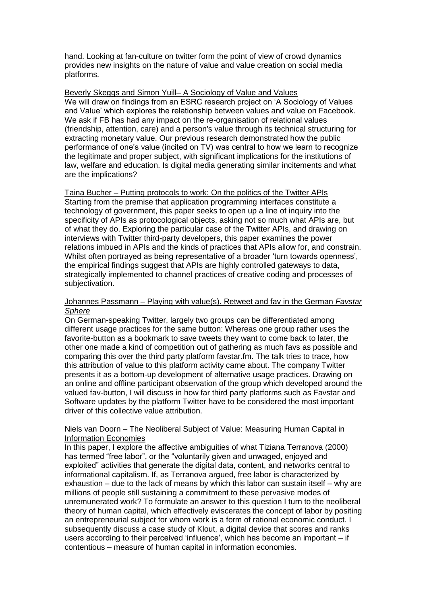hand. Looking at fan-culture on twitter form the point of view of crowd dynamics provides new insights on the nature of value and value creation on social media platforms.

#### Beverly Skeggs and Simon Yuill– A Sociology of Value and Values

We will draw on findings from an ESRC research project on 'A Sociology of Values and Value' which explores the relationship between values and value on Facebook. We ask if FB has had any impact on the re-organisation of relational values (friendship, attention, care) and a person's value through its technical structuring for extracting monetary value. Our previous research demonstrated how the public performance of one's value (incited on TV) was central to how we learn to recognize the legitimate and proper subject, with significant implications for the institutions of law, welfare and education. Is digital media generating similar incitements and what are the implications?

Taina Bucher – Putting protocols to work: On the politics of the Twitter APIs Starting from the premise that application programming interfaces constitute a technology of government, this paper seeks to open up a line of inquiry into the specificity of APIs as protocological objects, asking not so much what APIs are, but of what they do. Exploring the particular case of the Twitter APIs, and drawing on interviews with Twitter third-party developers, this paper examines the power relations imbued in APIs and the kinds of practices that APIs allow for, and constrain. Whilst often portrayed as being representative of a broader 'turn towards openness', the empirical findings suggest that APIs are highly controlled gateways to data, strategically implemented to channel practices of creative coding and processes of subjectivation.

#### Johannes Passmann – Playing with value(s). Retweet and fav in the German *Favstar Sphere*

On German-speaking Twitter, largely two groups can be differentiated among different usage practices for the same button: Whereas one group rather uses the favorite-button as a bookmark to save tweets they want to come back to later, the other one made a kind of competition out of gathering as much favs as possible and comparing this over the third party platform favstar.fm. The talk tries to trace, how this attribution of value to this platform activity came about. The company Twitter presents it as a bottom-up development of alternative usage practices. Drawing on an online and offline participant observation of the group which developed around the valued fav-button, I will discuss in how far third party platforms such as Favstar and Software updates by the platform Twitter have to be considered the most important driver of this collective value attribution.

# Niels van Doorn – The Neoliberal Subject of Value: Measuring Human Capital in Information Economies

In this paper, I explore the affective ambiguities of what Tiziana Terranova (2000) has termed "free labor", or the "voluntarily given and unwaged, enjoyed and exploited" activities that generate the digital data, content, and networks central to informational capitalism. If, as Terranova argued, free labor is characterized by exhaustion – due to the lack of means by which this labor can sustain itself – why are millions of people still sustaining a commitment to these pervasive modes of unremunerated work? To formulate an answer to this question I turn to the neoliberal theory of human capital, which effectively eviscerates the concept of labor by positing an entrepreneurial subject for whom work is a form of rational economic conduct. I subsequently discuss a case study of Klout, a digital device that scores and ranks users according to their perceived 'influence', which has become an important – if contentious – measure of human capital in information economies.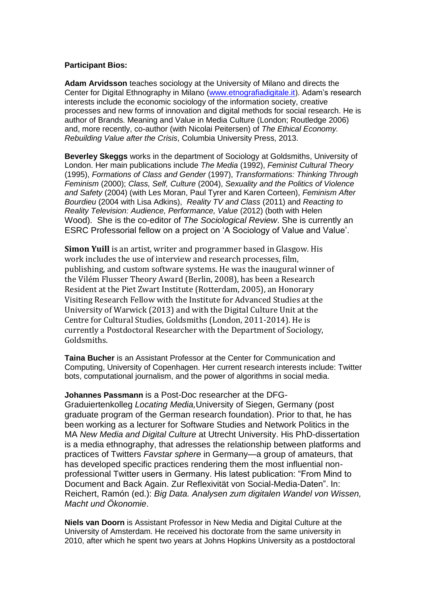## **Participant Bios:**

**Adam Arvidsson** teaches sociology at the University of Milano and directs the Center for Digital Ethnography in Milano [\(www.etnografiadigitale.it\)](http://www.etnografiadigitale.it/). Adam's research interests include the economic sociology of the information society, creative processes and new forms of innovation and digital methods for social research. He is author of Brands. Meaning and Value in Media Culture (London; Routledge 2006) and, more recently, co-author (with Nicolai Peitersen) of *The Ethical Economy. Rebuilding Value after the Crisis*, Columbia University Press, 2013.

**Beverley Skeggs** works in the department of Sociology at Goldsmiths, University of London. Her main publications include *The Media* (1992), *Feminist Cultural Theory* (1995), *Formations of Class and Gender* (1997), *Transformations: Thinking Through Feminism* (2000); *Class, Self, Culture* (2004), *Sexuality and the Politics of Violence and Safety* (2004) (with Les Moran, Paul Tyrer and Karen Corteen), *Feminism After Bourdieu* (2004 with Lisa Adkins), *Reality TV and Class* (2011) and *Reacting to Reality Television: Audience, Performance, Value* (2012) (both with Helen Wood). She is the co-editor of *The Sociological Review*. She is currently an ESRC Professorial fellow on a project on 'A Sociology of Value and Value'.

**Simon Yuill** is an artist, writer and programmer based in Glasgow. His work includes the use of interview and research processes, film, publishing, and custom software systems. He was the inaugural winner of the Vilém Flusser Theory Award (Berlin, 2008), has been a Research Resident at the Piet Zwart Institute (Rotterdam, 2005), an Honorary Visiting Research Fellow with the Institute for Advanced Studies at the University of Warwick (2013) and with the Digital Culture Unit at the Centre for Cultural Studies, Goldsmiths (London, 2011-2014). He is currently a Postdoctoral Researcher with the Department of Sociology, Goldsmiths.

**Taina Bucher** is an Assistant Professor at the Center for Communication and Computing, University of Copenhagen. Her current research interests include: Twitter bots, computational journalism, and the power of algorithms in social media.

**Johannes Passmann** is a Post-Doc researcher at the DFG-Graduiertenkolleg *Locating Media,*University of Siegen, Germany (post graduate program of the German research foundation). Prior to that, he has been working as a lecturer for Software Studies and Network Politics in the MA *New Media and Digital Culture* at Utrecht University. His PhD-dissertation is a media ethnography, that adresses the relationship between platforms and practices of Twitters *Favstar sphere* in Germany—a group of amateurs, that has developed specific practices rendering them the most influential nonprofessional Twitter users in Germany. His latest publication: "From Mind to Document and Back Again. Zur Reflexivität von Social-Media-Daten". In: Reichert, Ramón (ed.): *Big Data. Analysen zum digitalen Wandel von Wissen, Macht und Ökonomie*.

**Niels van Doorn** is Assistant Professor in New Media and Digital Culture at the University of Amsterdam. He received his doctorate from the same university in 2010, after which he spent two years at Johns Hopkins University as a postdoctoral